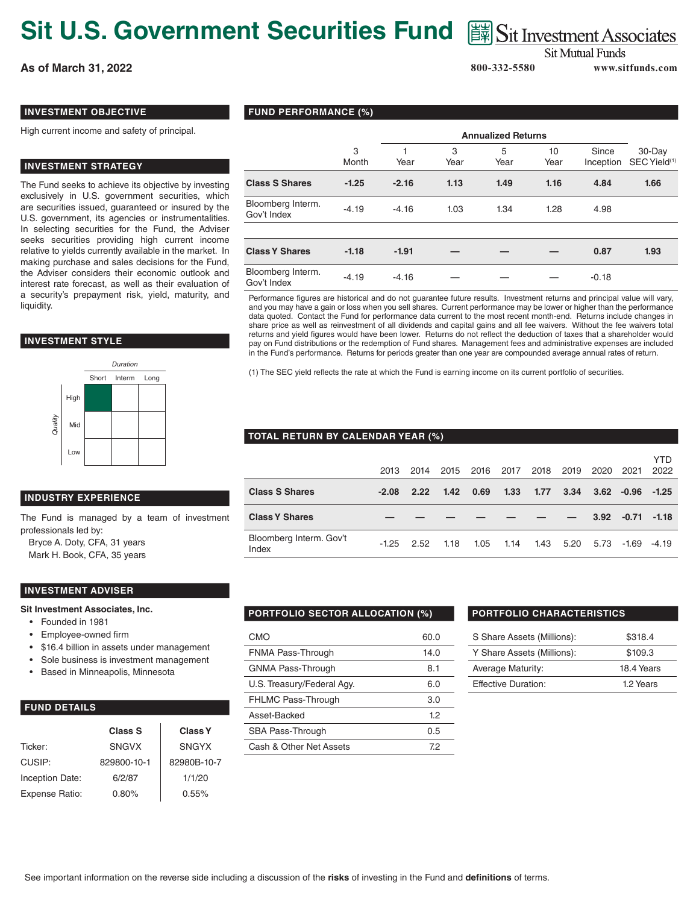# **Sit U.S. Government Securities Fund**  $\text{ }$  图 Sit Investment Associates

**As of March 31, 2022 800-332-5580 www.sitfunds.com**

**Sit Mutual Funds** 

# **INVESTMENT OBJECTIVE**

High current income and safety of principal.

# **INVESTMENT STRATEGY**

The Fund seeks to achieve its objective by investing exclusively in U.S. government securities, which are securities issued, guaranteed or insured by the U.S. government, its agencies or instrumentalities. In selecting securities for the Fund, the Adviser seeks securities providing high current income relative to yields currently available in the market. In making purchase and sales decisions for the Fund, the Adviser considers their economic outlook and interest rate forecast, as well as their evaluation of a security's prepayment risk, yield, maturity, and liquidity.

### **INVESTMENT STYLE**



## **INDUSTRY EXPERIENCE**

The Fund is managed by a team of investment professionals led by:

Bryce A. Doty, CFA, 31 years Mark H. Book, CFA, 35 years

### **INVESTMENT ADVISER**

#### **Sit Investment Associates, Inc.**

- Founded in 1981
- Employee-owned firm
- \$16.4 billion in assets under management
- Sole business is investment management
- Based in Minneapolis, Minnesota

# **FUND DETAILS**

|                 | Class S      | <b>Class Y</b> |  |  |  |
|-----------------|--------------|----------------|--|--|--|
| Ticker:         | <b>SNGVX</b> | <b>SNGYX</b>   |  |  |  |
| CUSIP:          | 829800-10-1  | 82980B-10-7    |  |  |  |
| Inception Date: | 6/2/87       | 1/1/20         |  |  |  |
| Expense Ratio:  | 0.80%        | 0.55%          |  |  |  |

# **FUND PERFORMANCE (%)**

|                                  |            | <b>Annualized Returns</b> |           |           |            |                    |                                    |
|----------------------------------|------------|---------------------------|-----------|-----------|------------|--------------------|------------------------------------|
|                                  | 3<br>Month | Year                      | 3<br>Year | 5<br>Year | 10<br>Year | Since<br>Inception | 30-Day<br>SEC Yield <sup>(1)</sup> |
| <b>Class S Shares</b>            | $-1.25$    | $-2.16$                   | 1.13      | 1.49      | 1.16       | 4.84               | 1.66                               |
| Bloomberg Interm.<br>Gov't Index | $-4.19$    | $-4.16$                   | 1.03      | 1.34      | 1.28       | 4.98               |                                    |
|                                  |            |                           |           |           |            |                    |                                    |
| <b>Class Y Shares</b>            | $-1.18$    | $-1.91$                   |           |           |            | 0.87               | 1.93                               |
| Bloomberg Interm.<br>Gov't Index | $-4.19$    | $-4.16$                   |           |           |            | $-0.18$            |                                    |

Performance figures are historical and do not guarantee future results. Investment returns and principal value will vary, and you may have a gain or loss when you sell shares. Current performance may be lower or higher than the performance data quoted. Contact the Fund for performance data current to the most recent month-end. Returns include changes in share price as well as reinvestment of all dividends and capital gains and all fee waivers. Without the fee waivers total returns and yield figures would have been lower. Returns do not reflect the deduction of taxes that a shareholder would pay on Fund distributions or the redemption of Fund shares. Management fees and administrative expenses are included in the Fund's performance. Returns for periods greater than one year are compounded average annual rates of return.

(1) The SEC yield reflects the rate at which the Fund is earning income on its current portfolio of securities.

### **TOTAL RETURN BY CALENDAR YEAR (%)**

|                                  | 2013    | 2014 | 2015 | 2016 | 2017 | 2018 | 2019 | 2020 | 2021         | <b>YTD</b><br>2022 |
|----------------------------------|---------|------|------|------|------|------|------|------|--------------|--------------------|
| <b>Class S Shares</b>            | $-2.08$ | 2.22 | 1.42 | 0.69 | 1.33 | 1.77 | 3.34 |      | $3.62 -0.96$ | $-1.25$            |
| <b>Class Y Shares</b>            |         |      |      |      |      |      |      | 3.92 | $-0.71$      | $-1.18$            |
| Bloomberg Interm. Gov't<br>Index | $-1.25$ | 2.52 | 1.18 | 1.05 | 1.14 | 1.43 | 5.20 | 5.73 | -1.69        | $-4.19$            |

# **PORTFOLIO SECTOR ALLOCATION (%) PORTFOLIO CHARACTERISTICS**

| CMO                        | 60.0 |
|----------------------------|------|
| FNMA Pass-Through          | 14.0 |
| <b>GNMA Pass-Through</b>   | 8.1  |
| U.S. Treasury/Federal Agy. | 6.0  |
| <b>FHLMC Pass-Through</b>  | 3.0  |
| Asset-Backed               | 12   |
| SBA Pass-Through           | 0.5  |
| Cash & Other Net Assets    | 72   |

| S Share Assets (Millions): | \$318.4    |
|----------------------------|------------|
| Y Share Assets (Millions): | \$109.3    |
| Average Maturity:          | 18.4 Years |
| <b>Effective Duration:</b> | 1.2 Years  |